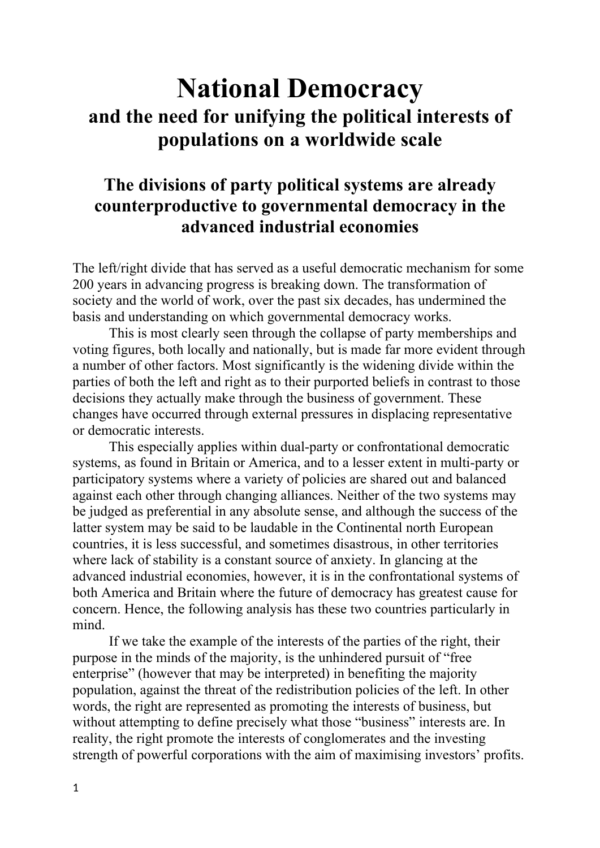## **National Democracy and the need for unifying the political interests of populations on a worldwide scale**

## **The divisions of party political systems are already counterproductive to governmental democracy in the advanced industrial economies**

The left/right divide that has served as a useful democratic mechanism for some 200 years in advancing progress is breaking down. The transformation of society and the world of work, over the past six decades, has undermined the basis and understanding on which governmental democracy works.

This is most clearly seen through the collapse of party memberships and voting figures, both locally and nationally, but is made far more evident through a number of other factors. Most significantly is the widening divide within the parties of both the left and right as to their purported beliefs in contrast to those decisions they actually make through the business of government. These changes have occurred through external pressures in displacing representative or democratic interests.

This especially applies within dual-party or confrontational democratic systems, as found in Britain or America, and to a lesser extent in multi-party or participatory systems where a variety of policies are shared out and balanced against each other through changing alliances. Neither of the two systems may be judged as preferential in any absolute sense, and although the success of the latter system may be said to be laudable in the Continental north European countries, it is less successful, and sometimes disastrous, in other territories where lack of stability is a constant source of anxiety. In glancing at the advanced industrial economies, however, it is in the confrontational systems of both America and Britain where the future of democracy has greatest cause for concern. Hence, the following analysis has these two countries particularly in mind.

If we take the example of the interests of the parties of the right, their purpose in the minds of the majority, is the unhindered pursuit of "free enterprise" (however that may be interpreted) in benefiting the majority population, against the threat of the redistribution policies of the left. In other words, the right are represented as promoting the interests of business, but without attempting to define precisely what those "business" interests are. In reality, the right promote the interests of conglomerates and the investing strength of powerful corporations with the aim of maximising investors' profits.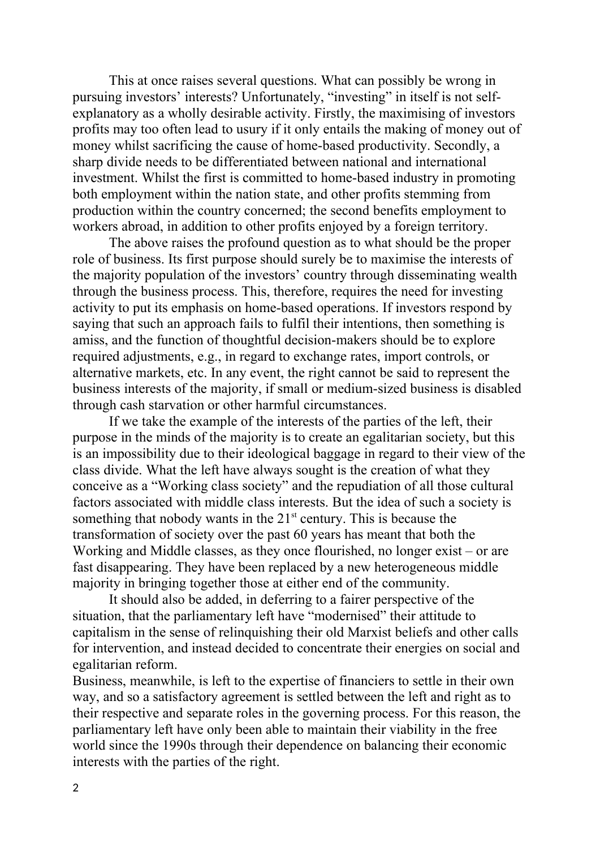This at once raises several questions. What can possibly be wrong in pursuing investors' interests? Unfortunately, "investing" in itself is not selfexplanatory as a wholly desirable activity. Firstly, the maximising of investors profits may too often lead to usury if it only entails the making of money out of money whilst sacrificing the cause of home-based productivity. Secondly, a sharp divide needs to be differentiated between national and international investment. Whilst the first is committed to home-based industry in promoting both employment within the nation state, and other profits stemming from production within the country concerned; the second benefits employment to workers abroad, in addition to other profits enjoyed by a foreign territory.

The above raises the profound question as to what should be the proper role of business. Its first purpose should surely be to maximise the interests of the majority population of the investors' country through disseminating wealth through the business process. This, therefore, requires the need for investing activity to put its emphasis on home-based operations. If investors respond by saying that such an approach fails to fulfil their intentions, then something is amiss, and the function of thoughtful decision-makers should be to explore required adjustments, e.g., in regard to exchange rates, import controls, or alternative markets, etc. In any event, the right cannot be said to represent the business interests of the majority, if small or medium-sized business is disabled through cash starvation or other harmful circumstances.

If we take the example of the interests of the parties of the left, their purpose in the minds of the majority is to create an egalitarian society, but this is an impossibility due to their ideological baggage in regard to their view of the class divide. What the left have always sought is the creation of what they conceive as a "Working class society" and the repudiation of all those cultural factors associated with middle class interests. But the idea of such a society is something that nobody wants in the  $21<sup>st</sup>$  century. This is because the transformation of society over the past 60 years has meant that both the Working and Middle classes, as they once flourished, no longer exist – or are fast disappearing. They have been replaced by a new heterogeneous middle majority in bringing together those at either end of the community.

It should also be added, in deferring to a fairer perspective of the situation, that the parliamentary left have "modernised" their attitude to capitalism in the sense of relinquishing their old Marxist beliefs and other calls for intervention, and instead decided to concentrate their energies on social and egalitarian reform.

Business, meanwhile, is left to the expertise of financiers to settle in their own way, and so a satisfactory agreement is settled between the left and right as to their respective and separate roles in the governing process. For this reason, the parliamentary left have only been able to maintain their viability in the free world since the 1990s through their dependence on balancing their economic interests with the parties of the right.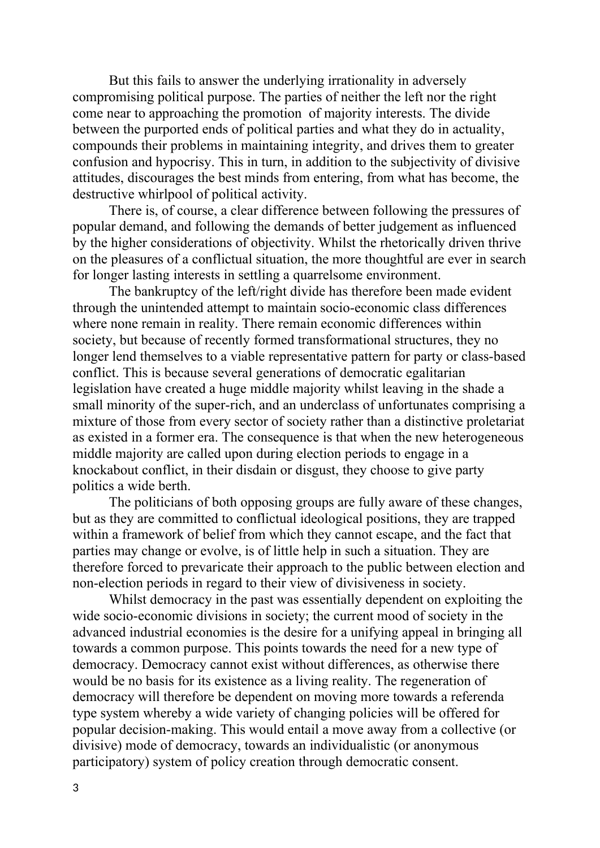But this fails to answer the underlying irrationality in adversely compromising political purpose. The parties of neither the left nor the right come near to approaching the promotion of majority interests. The divide between the purported ends of political parties and what they do in actuality, compounds their problems in maintaining integrity, and drives them to greater confusion and hypocrisy. This in turn, in addition to the subjectivity of divisive attitudes, discourages the best minds from entering, from what has become, the destructive whirlpool of political activity.

There is, of course, a clear difference between following the pressures of popular demand, and following the demands of better judgement as influenced by the higher considerations of objectivity. Whilst the rhetorically driven thrive on the pleasures of a conflictual situation, the more thoughtful are ever in search for longer lasting interests in settling a quarrelsome environment.

The bankruptcy of the left/right divide has therefore been made evident through the unintended attempt to maintain socio-economic class differences where none remain in reality. There remain economic differences within society, but because of recently formed transformational structures, they no longer lend themselves to a viable representative pattern for party or class-based conflict. This is because several generations of democratic egalitarian legislation have created a huge middle majority whilst leaving in the shade a small minority of the super-rich, and an underclass of unfortunates comprising a mixture of those from every sector of society rather than a distinctive proletariat as existed in a former era. The consequence is that when the new heterogeneous middle majority are called upon during election periods to engage in a knockabout conflict, in their disdain or disgust, they choose to give party politics a wide berth.

The politicians of both opposing groups are fully aware of these changes, but as they are committed to conflictual ideological positions, they are trapped within a framework of belief from which they cannot escape, and the fact that parties may change or evolve, is of little help in such a situation. They are therefore forced to prevaricate their approach to the public between election and non-election periods in regard to their view of divisiveness in society.

Whilst democracy in the past was essentially dependent on exploiting the wide socio-economic divisions in society; the current mood of society in the advanced industrial economies is the desire for a unifying appeal in bringing all towards a common purpose. This points towards the need for a new type of democracy. Democracy cannot exist without differences, as otherwise there would be no basis for its existence as a living reality. The regeneration of democracy will therefore be dependent on moving more towards a referenda type system whereby a wide variety of changing policies will be offered for popular decision-making. This would entail a move away from a collective (or divisive) mode of democracy, towards an individualistic (or anonymous participatory) system of policy creation through democratic consent.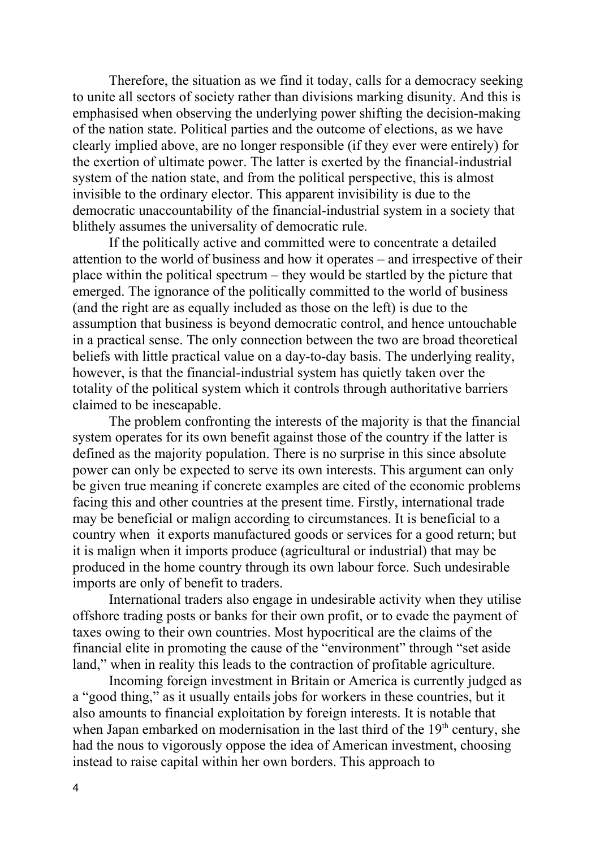Therefore, the situation as we find it today, calls for a democracy seeking to unite all sectors of society rather than divisions marking disunity. And this is emphasised when observing the underlying power shifting the decision-making of the nation state. Political parties and the outcome of elections, as we have clearly implied above, are no longer responsible (if they ever were entirely) for the exertion of ultimate power. The latter is exerted by the financial-industrial system of the nation state, and from the political perspective, this is almost invisible to the ordinary elector. This apparent invisibility is due to the democratic unaccountability of the financial-industrial system in a society that blithely assumes the universality of democratic rule.

If the politically active and committed were to concentrate a detailed attention to the world of business and how it operates – and irrespective of their place within the political spectrum – they would be startled by the picture that emerged. The ignorance of the politically committed to the world of business (and the right are as equally included as those on the left) is due to the assumption that business is beyond democratic control, and hence untouchable in a practical sense. The only connection between the two are broad theoretical beliefs with little practical value on a day-to-day basis. The underlying reality, however, is that the financial-industrial system has quietly taken over the totality of the political system which it controls through authoritative barriers claimed to be inescapable.

The problem confronting the interests of the majority is that the financial system operates for its own benefit against those of the country if the latter is defined as the majority population. There is no surprise in this since absolute power can only be expected to serve its own interests. This argument can only be given true meaning if concrete examples are cited of the economic problems facing this and other countries at the present time. Firstly, international trade may be beneficial or malign according to circumstances. It is beneficial to a country when it exports manufactured goods or services for a good return; but it is malign when it imports produce (agricultural or industrial) that may be produced in the home country through its own labour force. Such undesirable imports are only of benefit to traders.

International traders also engage in undesirable activity when they utilise offshore trading posts or banks for their own profit, or to evade the payment of taxes owing to their own countries. Most hypocritical are the claims of the financial elite in promoting the cause of the "environment" through "set aside land," when in reality this leads to the contraction of profitable agriculture.

Incoming foreign investment in Britain or America is currently judged as a "good thing," as it usually entails jobs for workers in these countries, but it also amounts to financial exploitation by foreign interests. It is notable that when Japan embarked on modernisation in the last third of the  $19<sup>th</sup>$  century, she had the nous to vigorously oppose the idea of American investment, choosing instead to raise capital within her own borders. This approach to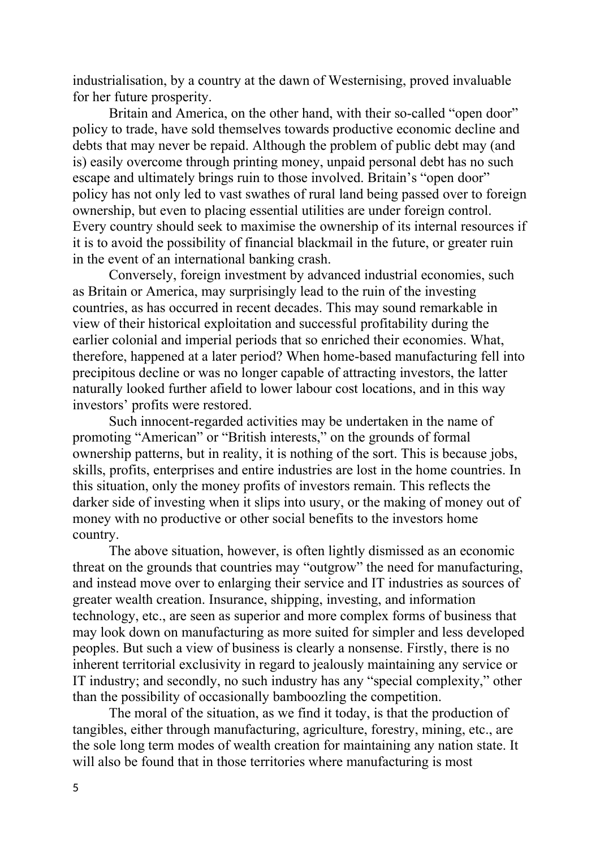industrialisation, by a country at the dawn of Westernising, proved invaluable for her future prosperity.

Britain and America, on the other hand, with their so-called "open door" policy to trade, have sold themselves towards productive economic decline and debts that may never be repaid. Although the problem of public debt may (and is) easily overcome through printing money, unpaid personal debt has no such escape and ultimately brings ruin to those involved. Britain's "open door" policy has not only led to vast swathes of rural land being passed over to foreign ownership, but even to placing essential utilities are under foreign control. Every country should seek to maximise the ownership of its internal resources if it is to avoid the possibility of financial blackmail in the future, or greater ruin in the event of an international banking crash.

Conversely, foreign investment by advanced industrial economies, such as Britain or America, may surprisingly lead to the ruin of the investing countries, as has occurred in recent decades. This may sound remarkable in view of their historical exploitation and successful profitability during the earlier colonial and imperial periods that so enriched their economies. What, therefore, happened at a later period? When home-based manufacturing fell into precipitous decline or was no longer capable of attracting investors, the latter naturally looked further afield to lower labour cost locations, and in this way investors' profits were restored.

Such innocent-regarded activities may be undertaken in the name of promoting "American" or "British interests," on the grounds of formal ownership patterns, but in reality, it is nothing of the sort. This is because jobs, skills, profits, enterprises and entire industries are lost in the home countries. In this situation, only the money profits of investors remain. This reflects the darker side of investing when it slips into usury, or the making of money out of money with no productive or other social benefits to the investors home country.

The above situation, however, is often lightly dismissed as an economic threat on the grounds that countries may "outgrow" the need for manufacturing, and instead move over to enlarging their service and IT industries as sources of greater wealth creation. Insurance, shipping, investing, and information technology, etc., are seen as superior and more complex forms of business that may look down on manufacturing as more suited for simpler and less developed peoples. But such a view of business is clearly a nonsense. Firstly, there is no inherent territorial exclusivity in regard to jealously maintaining any service or IT industry; and secondly, no such industry has any "special complexity," other than the possibility of occasionally bamboozling the competition.

The moral of the situation, as we find it today, is that the production of tangibles, either through manufacturing, agriculture, forestry, mining, etc., are the sole long term modes of wealth creation for maintaining any nation state. It will also be found that in those territories where manufacturing is most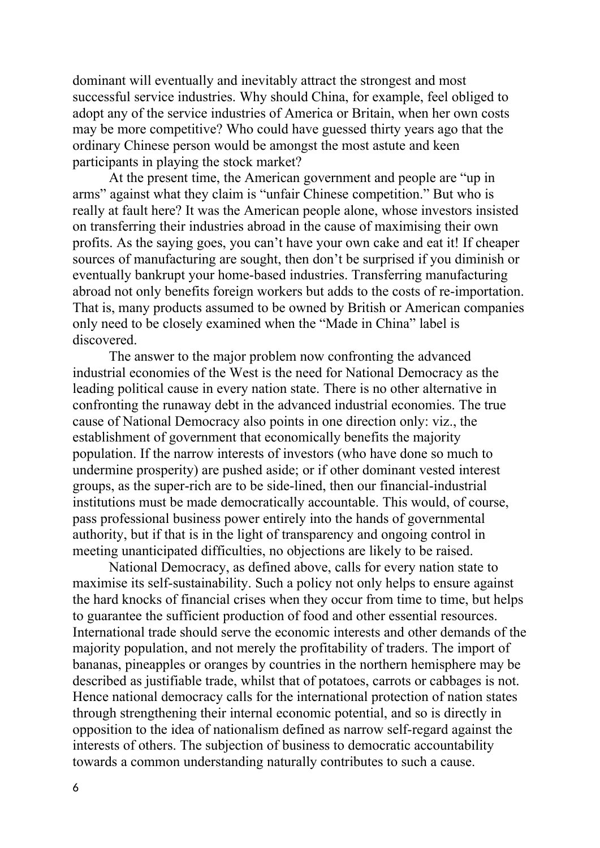dominant will eventually and inevitably attract the strongest and most successful service industries. Why should China, for example, feel obliged to adopt any of the service industries of America or Britain, when her own costs may be more competitive? Who could have guessed thirty years ago that the ordinary Chinese person would be amongst the most astute and keen participants in playing the stock market?

At the present time, the American government and people are "up in arms" against what they claim is "unfair Chinese competition." But who is really at fault here? It was the American people alone, whose investors insisted on transferring their industries abroad in the cause of maximising their own profits. As the saying goes, you can't have your own cake and eat it! If cheaper sources of manufacturing are sought, then don't be surprised if you diminish or eventually bankrupt your home-based industries. Transferring manufacturing abroad not only benefits foreign workers but adds to the costs of re-importation. That is, many products assumed to be owned by British or American companies only need to be closely examined when the "Made in China" label is discovered.

The answer to the major problem now confronting the advanced industrial economies of the West is the need for National Democracy as the leading political cause in every nation state. There is no other alternative in confronting the runaway debt in the advanced industrial economies. The true cause of National Democracy also points in one direction only: viz., the establishment of government that economically benefits the majority population. If the narrow interests of investors (who have done so much to undermine prosperity) are pushed aside; or if other dominant vested interest groups, as the super-rich are to be side-lined, then our financial-industrial institutions must be made democratically accountable. This would, of course, pass professional business power entirely into the hands of governmental authority, but if that is in the light of transparency and ongoing control in meeting unanticipated difficulties, no objections are likely to be raised.

National Democracy, as defined above, calls for every nation state to maximise its self-sustainability. Such a policy not only helps to ensure against the hard knocks of financial crises when they occur from time to time, but helps to guarantee the sufficient production of food and other essential resources. International trade should serve the economic interests and other demands of the majority population, and not merely the profitability of traders. The import of bananas, pineapples or oranges by countries in the northern hemisphere may be described as justifiable trade, whilst that of potatoes, carrots or cabbages is not. Hence national democracy calls for the international protection of nation states through strengthening their internal economic potential, and so is directly in opposition to the idea of nationalism defined as narrow self-regard against the interests of others. The subjection of business to democratic accountability towards a common understanding naturally contributes to such a cause.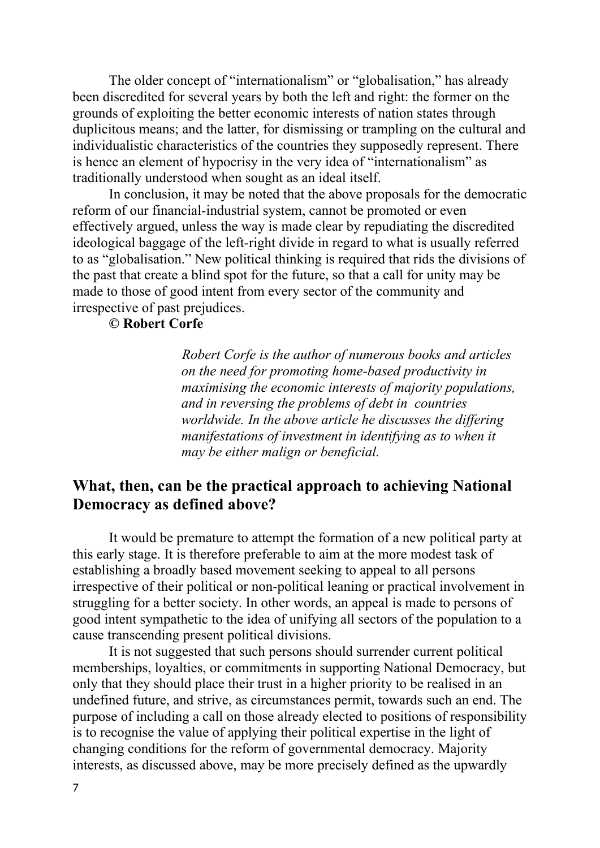The older concept of "internationalism" or "globalisation," has already been discredited for several years by both the left and right: the former on the grounds of exploiting the better economic interests of nation states through duplicitous means; and the latter, for dismissing or trampling on the cultural and individualistic characteristics of the countries they supposedly represent. There is hence an element of hypocrisy in the very idea of "internationalism" as traditionally understood when sought as an ideal itself.

In conclusion, it may be noted that the above proposals for the democratic reform of our financial-industrial system, cannot be promoted or even effectively argued, unless the way is made clear by repudiating the discredited ideological baggage of the left-right divide in regard to what is usually referred to as "globalisation." New political thinking is required that rids the divisions of the past that create a blind spot for the future, so that a call for unity may be made to those of good intent from every sector of the community and irrespective of past prejudices.

## **© Robert Corfe**

*Robert Corfe is the author of numerous books and articles on the need for promoting home-based productivity in maximising the economic interests of majority populations, and in reversing the problems of debt in countries worldwide. In the above article he discusses the differing manifestations of investment in identifying as to when it may be either malign or beneficial.* 

## **What, then, can be the practical approach to achieving National Democracy as defined above?**

It would be premature to attempt the formation of a new political party at this early stage. It is therefore preferable to aim at the more modest task of establishing a broadly based movement seeking to appeal to all persons irrespective of their political or non-political leaning or practical involvement in struggling for a better society. In other words, an appeal is made to persons of good intent sympathetic to the idea of unifying all sectors of the population to a cause transcending present political divisions.

It is not suggested that such persons should surrender current political memberships, loyalties, or commitments in supporting National Democracy, but only that they should place their trust in a higher priority to be realised in an undefined future, and strive, as circumstances permit, towards such an end. The purpose of including a call on those already elected to positions of responsibility is to recognise the value of applying their political expertise in the light of changing conditions for the reform of governmental democracy. Majority interests, as discussed above, may be more precisely defined as the upwardly